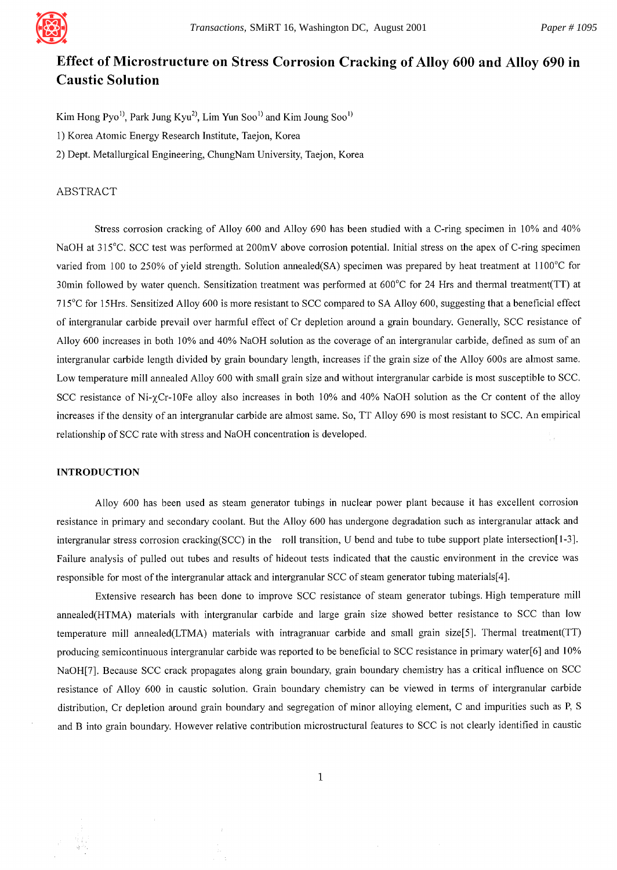

# **Effect of Microstructure on Stress Corrosion Cracking of Alloy 600 and Alloy 690 in Caustic Solution**

Kim Hong  $Pyo<sup>1</sup>$ , Park Jung Kyu<sup>2)</sup>, Lim Yun Soo<sup>1)</sup> and Kim Joung Soo<sup>1)</sup> 1) Korea Atomic Energy Research Institute, Taejon, Korea 2) Dept. Metallurgical Engineering, ChungNam University, Taejon, Korea

# ABSTRACT

Stress corrosion cracking of Alloy 600 and Alloy 690 has been studied with a C-ring specimen in 10% and 40% NaOH at 315°C. SCC test was performed at 200mV above corrosion potential. Initial stress on the apex of C-ring specimen varied from 100 to 250% of yield strength. Solution annealed(SA) specimen was prepared by heat treatment at 1100°C for 30min followed by water quench. Sensitization treatment was performed at 600°C for 24 Hrs and thermal treatment(TT) at 715°C for 15Hrs. Sensitized Alloy 600 is more resistant to SCC compared to SA Alloy 600, suggesting that a beneficial effect of intergranular carbide prevail over harmful effect of Cr depletion around a grain boundary. Generally, SCC resistance of Alloy 600 increases in both 10% and 40% NaOH solution as the coverage of an intergranular carbide, defined as sum of an intergranular carbide length divided by grain boundary length, increases if the grain size of the Alloy 600s are almost same. Low temperature mill annealed Alloy 600 with small grain size and without intergranular carbide is most susceptible to SCC. SCC resistance of Ni- $\gamma$ Cr-10Fe alloy also increases in both 10% and 40% NaOH solution as the Cr content of the alloy increases if the density of an intergranular carbide are almost same. So, TT Alloy 690 is most resistant to SCC. An empirical relationship of SCC rate with stress and NaOH concentration is developed.

# INTRODUCTION

Alloy 600 has been used as steam generator tubings in nuclear power plant because it has excellent corrosion resistance in primary and secondary coolant. But the Alloy 600 has undergone degradation such as intergranular attack and intergranular stress corrosion cracking(SCC) in the roll transition, U bend and tube to tube support plate intersection[ 1-3]. Failure analysis of pulled out tubes and results of hideout tests indicated that the caustic environment in the crevice was responsible for most of the intergranular attack and intergranular SCC of steam generator tubing materials[4].

Extensive research has been done to improve SCC resistance of steam generator tubings. High temperature mill annealed(HTMA) materials with intergranular carbide and large grain size showed better resistance to SCC than low temperature mill annealed(LTMA) materials with intragranuar carbide and small grain size[5]. Thermal treatment(TT) producing semicontinuous intergranular carbide was reported to be beneficial to SCC resistance in primary water[6] and 10% NaOH[7]. Because SCC crack propagates along grain boundary, grain boundary chemistry has a critical influence on SCC resistance of Alloy 600 in caustic solution. Grain boundary chemistry can be viewed in terms of intergranular carbide distribution, Cr depletion around grain boundary and segregation of minor alloying element, C and impurities such as P, S and B into grain boundary. However relative contribution microstructural features to SCC is not clearly identified in caustic

 $\mathbf{1}$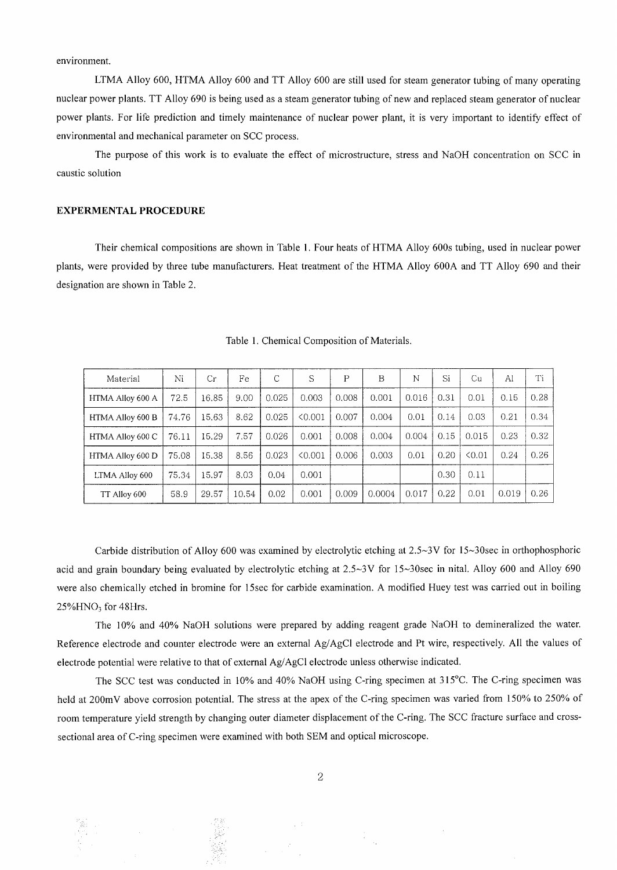environment.

LTMA Alloy 600, HTMA Alloy 600 and TT Alloy 600 are still used for steam generator tubing of many operating nuclear power plants. TT Alloy 690 is being used as a steam generator tubing of new and replaced steam generator of nuclear power plants. For life prediction and timely maintenance of nuclear power plant, it is very important to identify effect of environmental and mechanical parameter on SCC process.

The purpose of this work is to evaluate the effect of microstructure, stress and NaOH concentration on SCC in caustic solution

## **EXPERMENTAL PROCEDURE**

Their chemical compositions are shown in Table 1. Four heats of HTMA Alloy 600s tubing, used in nuclear power plants, were provided by three tube manufacturers. Heat treatment of the HTMA Alloy 600A and TT Alloy 690 and their designation are shown in Table 2.

| Material         | Ni    | Сr    | Fe    | С     | S       | P     | B      | N     | Si   | Сu    | Al    | Ti   |
|------------------|-------|-------|-------|-------|---------|-------|--------|-------|------|-------|-------|------|
| HTMA Alloy 600 A | 72.5  | 16.85 | 9.00  | 0.025 | 0.003   | 0.008 | 0.001  | 0.016 | 0.31 | 0.01  | 0.15  | 0.28 |
| HTMA Alloy 600 B | 74.76 | 15.63 | 8.62  | 0.025 | < 0.001 | 0.007 | 0.004  | 0.01  | 0.14 | 0.03  | 0.21  | 0.34 |
| HTMA Alloy 600 C | 76.11 | 15.29 | 7.57  | 0.026 | 0.001   | 0.008 | 0.004  | 0.004 | 0.15 | 0.015 | 0.23  | 0.32 |
| HTMA Alloy 600 D | 75.08 | 15.38 | 8.56  | 0.023 | 50.001  | 0.006 | 0.003  | 0.01  | 0.20 | 50.01 | 0.24  | 0.26 |
| LTMA Alloy 600   | 75.34 | 15.97 | 8.03  | 0.04  | 0.001   |       |        |       | 0.30 | 0.11  |       |      |
| TT Alloy 600     | 58.9  | 29.57 | 10.54 | 0.02  | 0.001   | 0.009 | 0.0004 | 0.017 | 0.22 | 0.01  | 0.019 | 0.26 |

Table 1. Chemical Composition of Materials.

Carbide distribution of Alloy 600 was examined by electrolytic etching at  $2.5~\text{eV}$  for  $15~\text{eV}$  30sec in orthophosphoric acid and grain boundary being evaluated by electrolytic etching at 2.5~3V for 15~30sec in nital. Alloy 600 and Alloy 690 were also chemically etched in bromine for 15sec for carbide examination. A modified Huey test was carried out in boiling  $25\%$ HNO<sub>3</sub> for 48Hrs.

The 10% and 40% NaOH solutions were prepared by adding reagent grade NaOH to demineralized the water. Reference electrode and counter electrode were an external Ag/AgC1 electrode and Pt wire, respectively. All the values of electrode potential were relative to that of external Ag/AgC1 electrode unless otherwise indicated.

The SCC test was conducted in 10% and 40% NaOH using C-ring specimen at 315°C. The C-ring specimen was held at 200mV above corrosion potential. The stress at the apex of the C-ring specimen was varied from 150% to 250% of room temperature yield strength by changing outer diameter displacement of the C-ring. The SCC fracture surface and crosssectional area of C-ring specimen were examined with both SEM and optical microscope.

 $\sim$  1

결광

- 181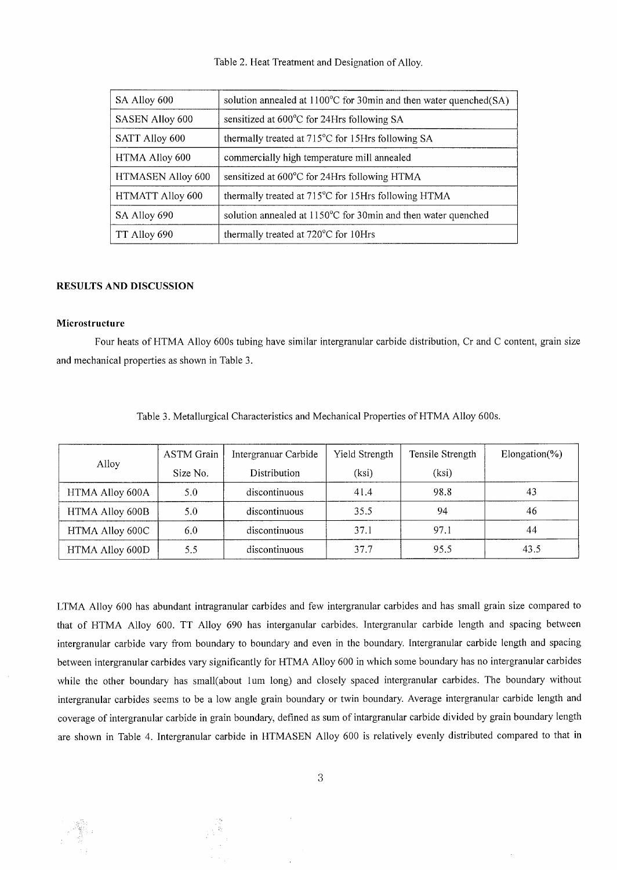| SA Alloy 600            | solution annealed at $1100^{\circ}$ C for 30min and then water quenched(SA) |
|-------------------------|-----------------------------------------------------------------------------|
| <b>SASEN Alloy 600</b>  | sensitized at 600°C for 24Hrs following SA                                  |
| SATT Alloy 600          | thermally treated at 715°C for 15Hrs following SA                           |
| HTMA Alloy 600          | commercially high temperature mill annealed                                 |
| HTMASEN Alloy 600       | sensitized at 600°C for 24Hrs following HTMA                                |
| <b>HTMATT Alloy 600</b> | thermally treated at 715°C for 15Hrs following HTMA                         |
| SA Alloy 690            | solution annealed at 1150°C for 30min and then water quenched               |
| TT Alloy 690            | thermally treated at 720°C for 10Hrs                                        |

## **RESULTS AND DISCUSSION**

#### **Microstructure**

 $\hat{c}$ 

Four heats of HTMA Alloy 600s tubing have similar intergranular carbide distribution, Cr and C content, grain size and mechanical properties as shown in Table 3.

|                 | ASTM Grain | Intergranuar Carbide | Yield Strength | Tensile Strength | Elongation $(\%)$ |
|-----------------|------------|----------------------|----------------|------------------|-------------------|
| Alloy           | Size No.   | Distribution         | (ksi)          | (ksi)            |                   |
| HTMA Alloy 600A | 5.0        | discontinuous        | 41.4           | 98.8             | 43                |
| HTMA Alloy 600B | 5.0        | discontinuous        | 35.5           | 94               | 46                |
| HTMA Alloy 600C | 6.0        | discontinuous        | 37.1           | 97.1             | 44                |
| HTMA Alloy 600D | 5.5        | discontinuous        | 37.7           | 95.5             | 43.5              |

Table 3. Metallurgical Characteristics and Mechanical Properties of HTMA Alloy 600s.

LTMA Alloy 600 has abundant intragranular carbides and few intergranular carbides and has small grain size compared to that of HTMA Alloy 600. TT Alloy 690 has interganular carbides. Intergranular carbide length and spacing between intergranular carbide vary from boundary to boundary and even in the boundary. Intergranular carbide length and spacing between intergranular carbides vary significantly for HTMA Alloy 600 in which some boundary has no intergranular carbides while the other boundary has small(about 1um long) and closely spaced intergranular carbides. The boundary without intergranular carbides seems to be a low angle grain boundary or twin boundary. Average intergranular carbide length and coverage of intergranular carbide in grain boundary, defined as sum of intargranular carbide divided by grain boundary length are shown in Table 4. Intergranular carbide in HTMASEN Alloy 600 is relatively evenly distributed compared to that in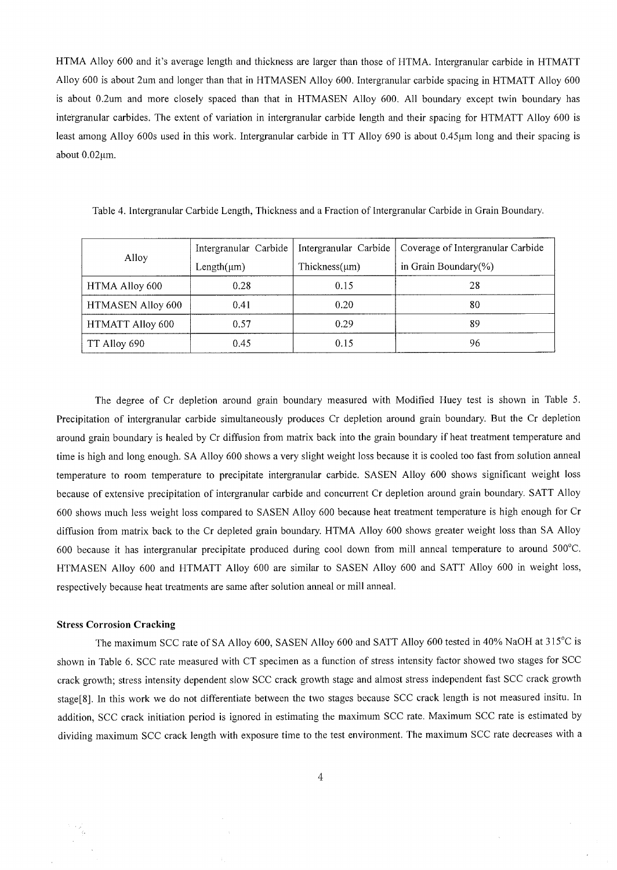HTMA Alloy 600 and it's average length and thickness are larger than those of HTMA. Intergranular carbide in HTMATT Alloy 600 is about 2urn and longer than that in HTMASEN Alloy 600. Intergranular carbide spacing in HTMATT Alloy 600 is about 0.2um and more closely spaced than that in HTMASEN Alloy 600. All boundary except twin boundary has intergranular carbides. The extent of variation in intergranular carbide length and their spacing for HTMATT Alloy 600 is least among Alloy 600s used in this work. Intergranular carbide in TT Alloy 690 is about 0.45 $\mu$ m long and their spacing is about  $0.02 \mu m$ .

|                         | Intergranular Carbide | Intergranular Carbide | Coverage of Intergranular Carbide |  |
|-------------------------|-----------------------|-----------------------|-----------------------------------|--|
| Alloy                   | Length $(\mu m)$      | Thickness $(\mu m)$   | in Grain Boundary(%)              |  |
| HTMA Alloy 600          | 0.28                  | 0.15                  | 28                                |  |
| HTMASEN Alloy 600       | 0.41                  | 0.20                  | 80                                |  |
| <b>HTMATT Alloy 600</b> | 0.57                  | 0.29                  | 89                                |  |
| TT Alloy 690            | 0.45                  | 0.15                  | 96                                |  |

Table 4. Intergranular Carbide Length, Thickness and a Fraction of Intergranular Carbide in Grain Boundary.

The degree of Cr depletion around grain boundary measured with Modified Huey test is shown in Table 5. Precipitation of intergranular carbide simultaneously produces Cr depletion around grain boundary. But the Cr depletion around grain boundary is healed by Cr diffusion from matrix back into the grain boundary if heat treatment temperature and time is high and long enough. SA Alloy 600 shows a very slight weight loss because it is cooled too fast from solution anneal temperature to room temperature to precipitate intergranular carbide. SASEN Alloy 600 shows significant weight loss because of extensive precipitation of intergranular carbide and concurrent Cr depletion around grain boundary. SATT Alloy 600 shows much less weight loss compared to SASEN Alloy 600 because heat treatment temperature is high enough for Cr diffusion from matrix back to the Cr depleted grain boundary. HTMA Alloy 600 shows greater weight loss than SA Alloy 600 because it has intergranular precipitate produced during cool down from mill anneal temperature to around 500°C. HTMASEN Alloy 600 and HTMATT Alloy 600 are similar to SASEN Alloy 600 and SATT Alloy 600 in weight loss, respectively because heat treatments are same after solution anneal or mill anneal.

## **Stress Corrosion Cracking**

The maximum SCC rate of SA Alloy 600, SASEN Alloy 600 and SATT Alloy 600 tested in 40% NaOH at 315°C is shown in Table 6. SCC rate measured with CT specimen as a function of stress intensity factor showed two stages for SCC crack growth; stress intensity dependent slow SCC crack growth stage and almost stress independent fast SCC crack growth stage[8]. In this work we do not differentiate between the two stages because SCC crack length is not measured insitu. In addition, SCC crack initiation period is ignored in estimating the maximum SCC rate. Maximum SCC rate is estimated by dividing maximum SCC crack length with exposure time to the test environment. The maximum SCC rate decreases with a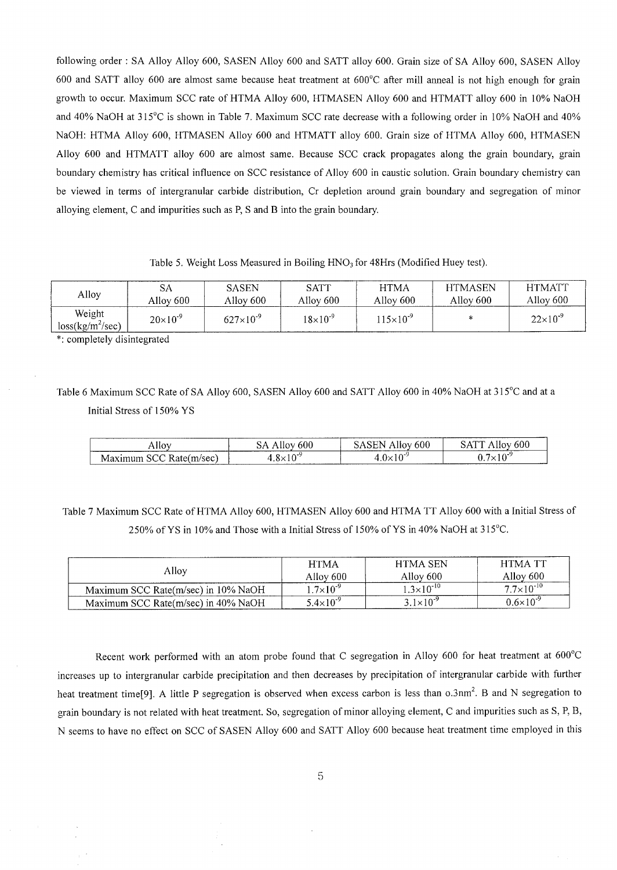following order : SA Alloy Alloy 600, SASEN Alloy 600 and SATT alloy 600. Grain size of SA Alloy 600, SASEN Alloy 600 and SATT alloy 600 are almost same because heat treatment at 600°C after mill anneal is not high enough for grain growth to occur. Maximum SCC rate of HTMA Alloy 600, HTMASEN Alloy 600 and HTMATT alloy 600 in 10% NaOH and 40% NaOH at 315°C is shown in Table 7. Maximum SCC rate decrease with a following order in 10% NaOH and 40% NaOH: HTMA Alloy 600, HTMASEN Alloy 600 and HTMATT alloy 600. Grain size of HTMA Alloy 600, HTMASEN Alloy 600 and HTMATT alloy 600 are almost same. Because SCC crack propagates along the grain boundary, grain boundary chemistry has critical influence on SCC resistance of Alloy 600 in caustic solution. Grain boundary chemistry can be viewed in terms of intergranular carbide distribution, Cr depletion around grain boundary and segregation of minor alloying element, C and impurities such as P, S and B into the grain boundary.

Table 5. Weight Loss Measured in Boiling  $HNO<sub>3</sub>$  for 48Hrs (Modified Huey test).

| Alloy                        | SА                | <b>SASEN</b>       | SATT              | <b>HTMA</b>        | <b>HTMASEN</b> | <b>HTMATT</b>     |
|------------------------------|-------------------|--------------------|-------------------|--------------------|----------------|-------------------|
|                              | Alloy 600         | Alloy 600          | Allov 600         | Alloy 600          | Alloy 600      | Alloy 600         |
| Weight<br>$loss(kg/m^2/sec)$ | $20\times10^{-9}$ | $627\times10^{-9}$ | $18\times10^{-9}$ | $115\times10^{-9}$ | ×              | $22\times10^{-9}$ |

\*: completely disintegrated

Table 6 Maximum SCC Rate of SA Alloy 600, SASEN Alloy 600 and SATT Alloy 600 in 40% NaOH at 315°C and at a Initial Stress of 150% YS

| _________<br>Allo <sup>x</sup>                                                                                                   | --------<br>$\sim$<br>υυυ<br>້ | nuu                    | -----<br>ουι |
|----------------------------------------------------------------------------------------------------------------------------------|--------------------------------|------------------------|--------------|
| ιvι<br>the contract of the contract of the contract of the contract of the contract of the contract of the contract of<br>______ | $\sim$ $\sim$ $\sim$<br>.      | $\sim -$<br>ヽlぃ<br>. . | $\sim$       |

Table 7 Maximum SCC Rate of HTMA Alloy 600, HTMASEN Alloy 600 and HTMA TT Alloy 600 with a Initial Stress of 250% of YS in 10% and Those with a Initial Stress of 150% of YS in 40% NaOH at 315°C.

| Allov                               | <b>HTMA</b><br>Alloy 600 | HTMA SEN<br>Allov 600 | <b>HTMA TT</b><br>Allov 600 |  |
|-------------------------------------|--------------------------|-----------------------|-----------------------------|--|
| Maximum SCC Rate(m/sec) in 10% NaOH | $1.7\times10^{-9}$       | $1.3\times10^{-10}$   | $7.7\times10^{-10}$         |  |
| Maximum SCC Rate(m/sec) in 40% NaOH | $5.4 \times 10^{-9}$     | $3.1 \times 10^{-9}$  | $0.6\times10^{-9}$          |  |

Recent work performed with an atom probe found that C segregation in Alloy 600 for heat treatment at 600°C increases up to intergranular carbide precipitation and then decreases by precipitation of intergranular carbide with further heat treatment time[9]. A little P segregation is observed when excess carbon is less than  $0.3$ nm<sup>2</sup>. B and N segregation to grain boundary is not related with heat treatment. So, segregation of minor alloying element, C and impurities such as S, P, B, N seems to have no effect on SCC of SASEN Alloy 600 and SATT Alloy 600 because heat treatment time employed in this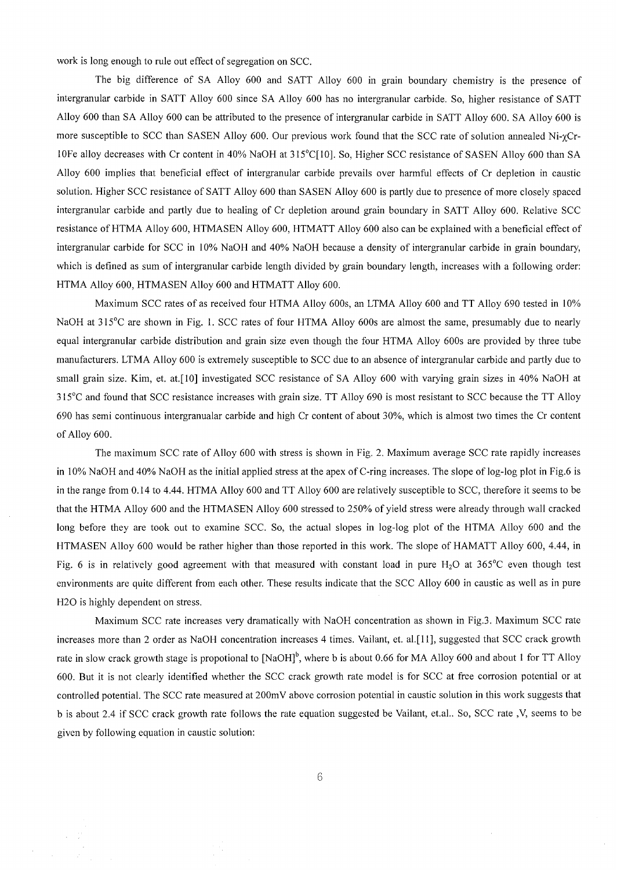work is long enough to rule out effect of segregation on SCC.

The big difference of SA Alloy 600 and SATT Alloy 600 in grain boundary chemistry is the presence of intergranular carbide in SATT Alloy 600 since SA Alloy 600 has no intergranular carbide. So, higher resistance of SATT Alloy 600 than SA Alloy 600 can be attributed to the presence of intergranular carbide in SATT Alloy 600. SA Alloy 600 is more susceptible to SCC than SASEN Alloy 600. Our previous work found that the SCC rate of solution annealed Ni- $\gamma$ Cr-10Fe alloy decreases with Cr content in 40% NaOH at 315°C[ 10]. So, Higher SCC resistance of SASEN Alloy 600 than SA Alloy 600 implies that beneficial effect of intergranular carbide prevails over harmful effects of Cr depletion in caustic solution. Higher SCC resistance of SATT Alloy 600 than SASEN Alloy 600 is partly due to presence of more closely spaced intergranular carbide and partly due to healing of Cr depletion around grain boundary in SATT Alloy 600. Relative SCC resistance of HTMA Alloy 600, HTMASEN Alloy 600, HTMATT Alloy 600 also can be explained with a beneficial effect of intergranular carbide for SCC in 10% NaOH and 40% NaOH because a density of intergranular carbide in grain boundary, which is defined as sum of intergranular carbide length divided by grain boundary length, increases with a following order: HTMA Alloy 600, HTMASEN Alloy 600 and HTMATT Alloy 600.

Maximum SCC rates of as received four HTMA Alloy 600s, an LTMA Alloy 600 and TT Alloy 690 tested in 10% NaOH at 315<sup>°</sup>C are shown in Fig. 1. SCC rates of four HTMA Alloy 600s are almost the same, presumably due to nearly equal intergranular carbide distribution and grain size even though the four HTMA Alloy 600s are provided by three tube manufacturers. LTMA Alloy 600 is extremely susceptible to SCC due to an absence of intergranular carbide and partly due to small grain size. Kim, et. at.[10] investigated SCC resistance of SA Alloy 600 with varying grain sizes in 40% NaOH at 315°C and found that SCC resistance increases with grain size. TT Alloy 690 is most resistant to SCC because the TT Alloy 690 has semi continuous intergranualar carbide and high Cr content of about 30%, which is almost two times the Cr content of Alloy 600.

The maximum SCC rate of Alloy 600 with stress is shown in Fig. 2. Maximum average SCC rate rapidly increases in 10% NaOH and 40% NaOH as the initial applied stress at the apex of C-ring increases. The slope of log-log plot in Fig.6 is in the range from 0.14 to 4.44. HTMA Alloy 600 and TT Alloy 600 are relatively susceptible to SCC, therefore it seems to be that the HTMA Alloy 600 and the HTMASEN Alloy 600 stressed to 250% of yield stress were already through wall cracked long before they are took out to examine SCC. So, the actual slopes in log-log plot of the HTMA Alloy 600 and the HTMASEN Alloy 600 would be rather higher than those reported in this work. The slope of HAMATT Alloy 600, 4.44, in Fig. 6 is in relatively good agreement with that measured with constant load in pure  $H_2O$  at 365°C even though test environments are quite different from each other. These results indicate that the SCC Alloy 600 in caustic as well as in pure H20 is highly dependent on stress.

Maximum SCC rate increases very dramatically with NaOH concentration as shown in Fig.3. Maximum SCC rate increases more than 2 order as NaOH concentration increases 4 times. Vailant, et. al.[ 11 ], suggested that SCC crack growth rate in slow crack growth stage is propotional to  $[NaOH]$ <sup>b</sup>, where b is about 0.66 for MA Alloy 600 and about 1 for TT Alloy 600. But it is not clearly identified whether the SCC crack growth rate model is for SCC at free corrosion potential or at controlled potential. The SCC rate measured at 200mV above corrosion potential in caustic solution in this work suggests that b is about 2.4 if SCC crack growth rate follows the rate equation suggested be Vailant, et.al.. So, SCC rate ,V, seems to be given by following equation in caustic solution: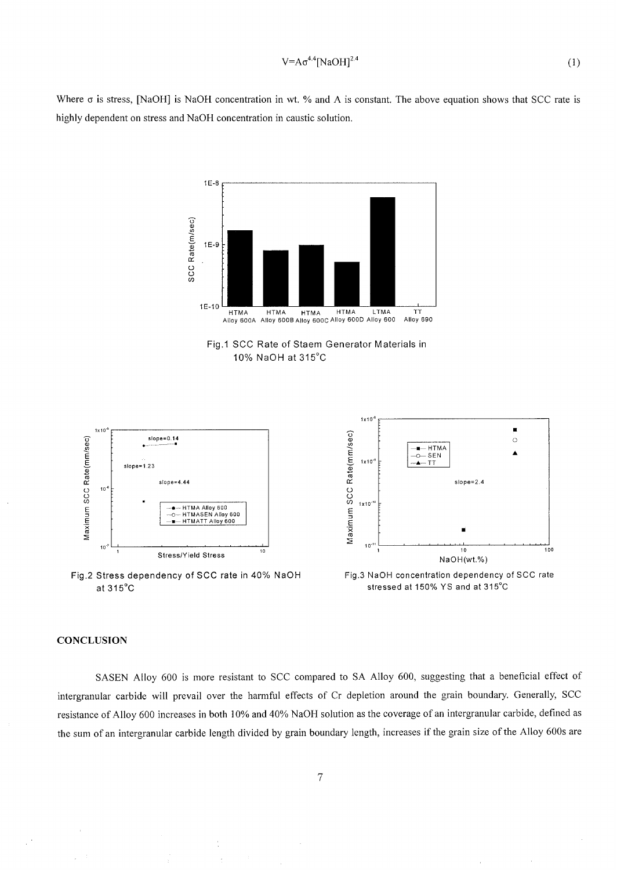$$
V = A\sigma^{4.4} [NaOH]^{2.4}
$$
 (1)

Where  $\sigma$  is stress, [NaOH] is NaOH concentration in wt. % and A is constant. The above equation shows that SCC rate is highly dependent on stress and NaOH concentration in caustic solution.



**Fig.2 Stress dependency of SCC rate in 40% NaOH at 315°C** 

1 E-8

**Fig.3 NaOH concentration dependency of SCC rate stressed at 150% Y S and at 315°C** 

## **CONCLUSION**

SASEN Alloy 600 is more resistant to SCC compared to SA Alloy 600, suggesting that a beneficial effect of intergranular carbide will prevail over the harmful effects of Cr depletion around the grain boundary. Generally, SCC resistance of Alloy 600 increases in both 10% and 40% NaOH solution as the coverage of an intergranular carbide, defined as the sum of an intergranular carbide length divided by grain boundary length, increases if the grain size of the Alloy 600s are